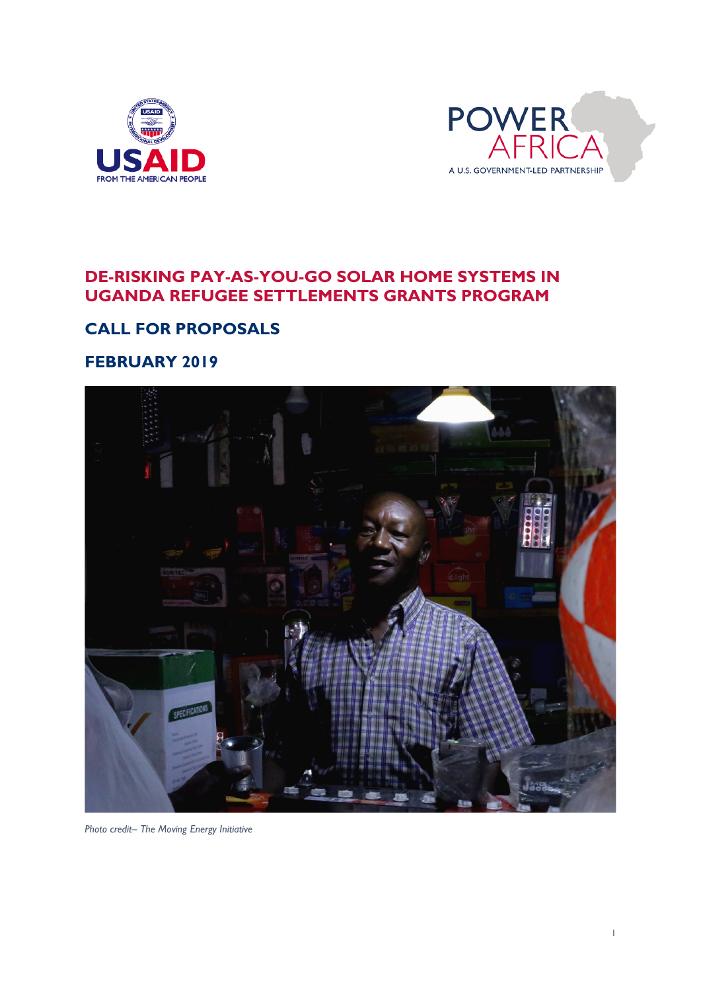



## **DE-RISKING PAY-AS-YOU-GO SOLAR HOME SYSTEMS IN UGANDA REFUGEE SETTLEMENTS GRANTS PROGRAM**

# **CALL FOR PROPOSALS**

## **FEBRUARY 2019**



*Photo credit– The Moving Energy Initiative*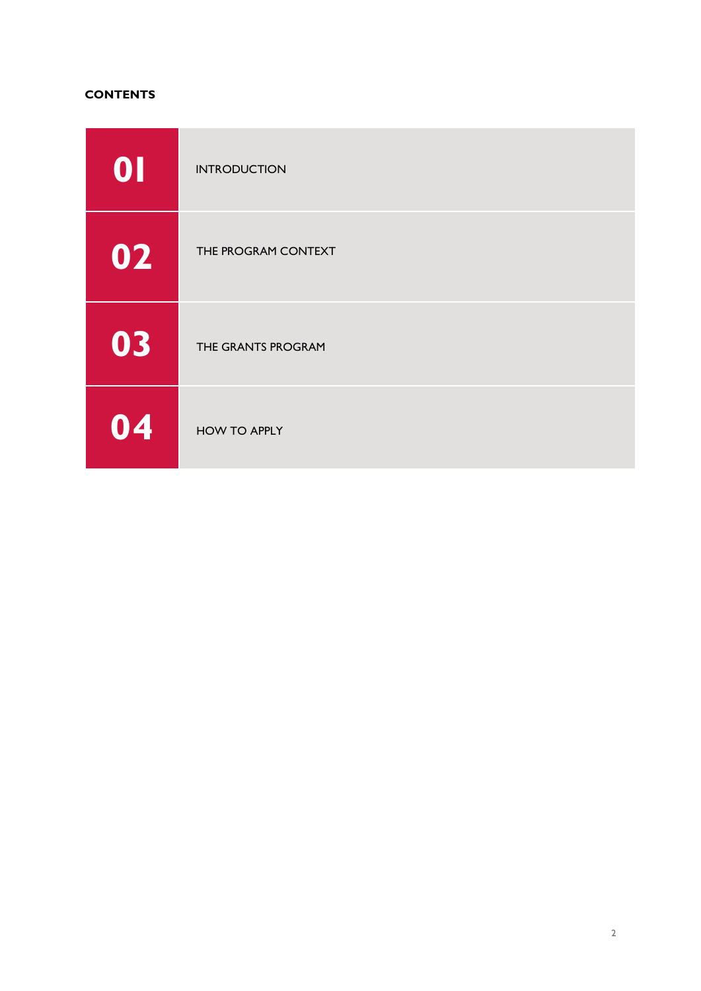#### **CONTENTS**

| 0  | <b>INTRODUCTION</b> |
|----|---------------------|
| 02 | THE PROGRAM CONTEXT |
| 03 | THE GRANTS PROGRAM  |
| 04 | <b>HOW TO APPLY</b> |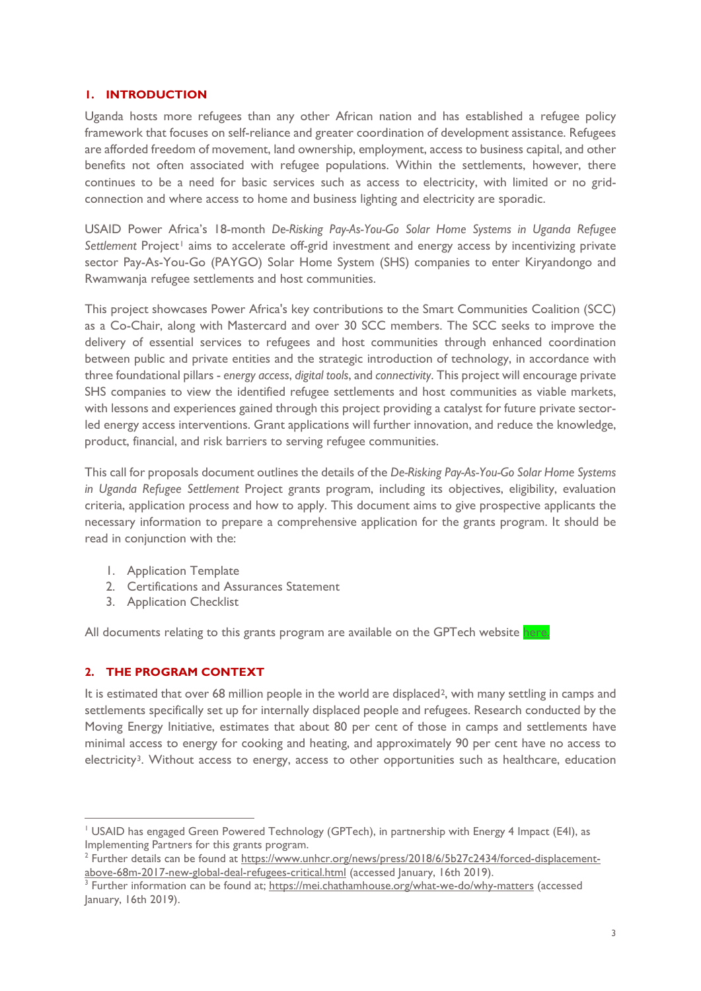#### **1. INTRODUCTION**

Uganda hosts more refugees than any other African nation and has established a refugee policy framework that focuses on self-reliance and greater coordination of development assistance. Refugees are afforded freedom of movement, land ownership, employment, access to business capital, and other benefits not often associated with refugee populations. Within the settlements, however, there continues to be a need for basic services such as access to electricity, with limited or no gridconnection and where access to home and business lighting and electricity are sporadic.

USAID Power Africa's 18-month *De-Risking Pay-As-You-Go Solar Home Systems in Uganda Refugee*  Settlement Project<sup>[1](#page-2-0)</sup> aims to accelerate off-grid investment and energy access by incentivizing private sector Pay-As-You-Go (PAYGO) Solar Home System (SHS) companies to enter Kiryandongo and Rwamwanja refugee settlements and host communities.

This project showcases Power Africa's key contributions to the Smart Communities Coalition (SCC) as a Co-Chair, along with Mastercard and over 30 SCC members. The SCC seeks to improve the delivery of essential services to refugees and host communities through enhanced coordination between public and private entities and the strategic introduction of technology, in accordance with three foundational pillars - *energy access*, *digital tools*, and *connectivity*. This project will encourage private SHS companies to view the identified refugee settlements and host communities as viable markets, with lessons and experiences gained through this project providing a catalyst for future private sectorled energy access interventions. Grant applications will further innovation, and reduce the knowledge, product, financial, and risk barriers to serving refugee communities.

This call for proposals document outlines the details of the *De-Risking Pay-As-You-Go Solar Home Systems in Uganda Refugee Settlement* Project grants program, including its objectives, eligibility, evaluation criteria, application process and how to apply. This document aims to give prospective applicants the necessary information to prepare a comprehensive application for the grants program. It should be read in conjunction with the:

- 1. Application Template
- 2. Certifications and Assurances Statement
- 3. Application Checklist

All documents relating to this grants program are available on the GPTech website [here.](http://greenpoweredtechnology.com/?page_id=1006&preview=1&_ppp=823e91a295)

#### **2. THE PROGRAM CONTEXT**

It is estimated that over 68 million people in the world are displaced<sup>[2](#page-2-1)</sup>, with many settling in camps and settlements specifically set up for internally displaced people and refugees. Research conducted by the Moving Energy Initiative, estimates that about 80 per cent of those in camps and settlements have minimal access to energy for cooking and heating, and approximately 90 per cent have no access to electricity<sup>3</sup>. Without access to energy, access to other opportunities such as healthcare, education

 <sup>1</sup> USAID has engaged Green Powered Technology (GPTech), in partnership with Energy 4 Impact (E4I), as Implementing Partners for this grants program.

<span id="page-2-0"></span><sup>2</sup> Further details can be found at [https://www.unhcr.org/news/press/2018/6/5b27c2434/forced-displacement](https://www.unhcr.org/news/press/2018/6/5b27c2434/forced-displacement-above-68m-2017-new-global-deal-refugees-critical.html)[above-68m-2017-new-global-deal-refugees-critical.html](https://www.unhcr.org/news/press/2018/6/5b27c2434/forced-displacement-above-68m-2017-new-global-deal-refugees-critical.html) (accessed January, 16th 2019).

<span id="page-2-1"></span><sup>&</sup>lt;sup>3</sup> Further information can be found at;<https://mei.chathamhouse.org/what-we-do/why-matters> (accessed January, 16th 2019).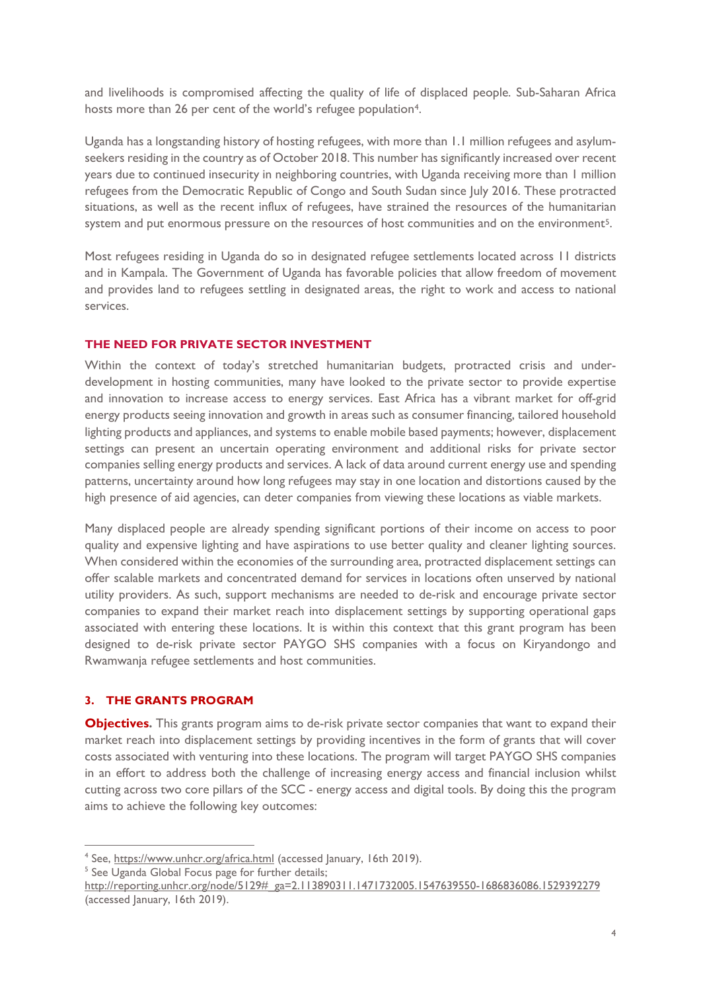and livelihoods is compromised affecting the quality of life of displaced people. Sub-Saharan Africa hosts more than 26 per cent of the world's refugee population<sup>4</sup>.

Uganda has a longstanding history of hosting refugees, with more than 1.1 million refugees and asylumseekers residing in the country as of October 2018. This number has significantly increased over recent years due to continued insecurity in neighboring countries, with Uganda receiving more than 1 million refugees from the Democratic Republic of Congo and South Sudan since July 2016. These protracted situations, as well as the recent influx of refugees, have strained the resources of the humanitarian system and put enormous pressure on the resources of host communities and on the environment<sup>5</sup>.

Most refugees residing in Uganda do so in designated refugee settlements located across 11 districts and in Kampala. The Government of Uganda has favorable policies that allow freedom of movement and provides land to refugees settling in designated areas, the right to work and access to national services.

#### **THE NEED FOR PRIVATE SECTOR INVESTMENT**

Within the context of today's stretched humanitarian budgets, protracted crisis and underdevelopment in hosting communities, many have looked to the private sector to provide expertise and innovation to increase access to energy services. East Africa has a vibrant market for off-grid energy products seeing innovation and growth in areas such as consumer financing, tailored household lighting products and appliances, and systems to enable mobile based payments; however, displacement settings can present an uncertain operating environment and additional risks for private sector companies selling energy products and services. A lack of data around current energy use and spending patterns, uncertainty around how long refugees may stay in one location and distortions caused by the high presence of aid agencies, can deter companies from viewing these locations as viable markets.

Many displaced people are already spending significant portions of their income on access to poor quality and expensive lighting and have aspirations to use better quality and cleaner lighting sources. When considered within the economies of the surrounding area, protracted displacement settings can offer scalable markets and concentrated demand for services in locations often unserved by national utility providers. As such, support mechanisms are needed to de-risk and encourage private sector companies to expand their market reach into displacement settings by supporting operational gaps associated with entering these locations. It is within this context that this grant program has been designed to de-risk private sector PAYGO SHS companies with a focus on Kiryandongo and Rwamwanja refugee settlements and host communities.

#### **3. THE GRANTS PROGRAM**

**Objectives.** This grants program aims to de-risk private sector companies that want to expand their market reach into displacement settings by providing incentives in the form of grants that will cover costs associated with venturing into these locations. The program will target PAYGO SHS companies in an effort to address both the challenge of increasing energy access and financial inclusion whilst cutting across two core pillars of the SCC - energy access and digital tools. By doing this the program aims to achieve the following key outcomes:

<span id="page-3-1"></span><span id="page-3-0"></span> <sup>4</sup> See,<https://www.unhcr.org/africa.html> (accessed January, 16th 2019).

<span id="page-3-2"></span><sup>&</sup>lt;sup>5</sup> See Uganda Global Focus page for further details;

[http://reporting.unhcr.org/node/5129#\\_ga=2.113890311.1471732005.1547639550-1686836086.1529392279](http://reporting.unhcr.org/node/5129#_ga=2.113890311.1471732005.1547639550-1686836086.1529392279) (accessed January, 16th 2019).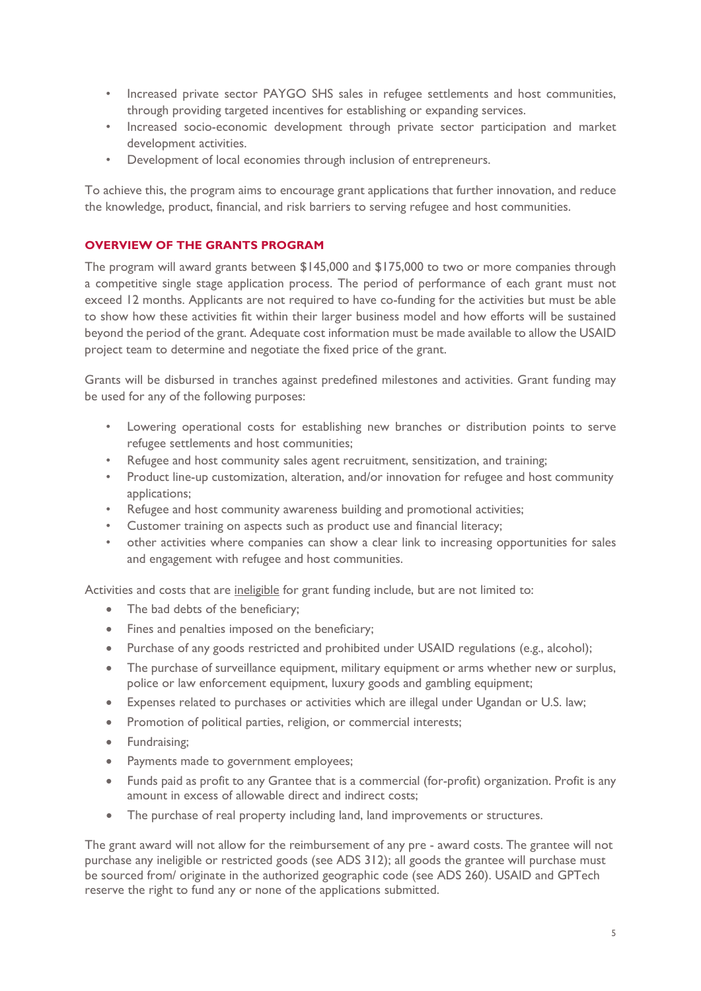- Increased private sector PAYGO SHS sales in refugee settlements and host communities, through providing targeted incentives for establishing or expanding services.
- Increased socio-economic development through private sector participation and market development activities.
- Development of local economies through inclusion of entrepreneurs.

To achieve this, the program aims to encourage grant applications that further innovation, and reduce the knowledge, product, financial, and risk barriers to serving refugee and host communities.

#### **OVERVIEW OF THE GRANTS PROGRAM**

The program will award grants between \$145,000 and \$175,000 to two or more companies through a competitive single stage application process. The period of performance of each grant must not exceed 12 months. Applicants are not required to have co-funding for the activities but must be able to show how these activities fit within their larger business model and how efforts will be sustained beyond the period of the grant. Adequate cost information must be made available to allow the USAID project team to determine and negotiate the fixed price of the grant.

Grants will be disbursed in tranches against predefined milestones and activities. Grant funding may be used for any of the following purposes:

- Lowering operational costs for establishing new branches or distribution points to serve refugee settlements and host communities;
- Refugee and host community sales agent recruitment, sensitization, and training;
- Product line-up customization, alteration, and/or innovation for refugee and host community applications;
- Refugee and host community awareness building and promotional activities;
- Customer training on aspects such as product use and financial literacy;
- other activities where companies can show a clear link to increasing opportunities for sales and engagement with refugee and host communities.

Activities and costs that are ineligible for grant funding include, but are not limited to:

- The bad debts of the beneficiary;
- Fines and penalties imposed on the beneficiary;
- Purchase of any goods restricted and prohibited under USAID regulations (e.g., alcohol);
- The purchase of surveillance equipment, military equipment or arms whether new or surplus, police or law enforcement equipment, luxury goods and gambling equipment;
- Expenses related to purchases or activities which are illegal under Ugandan or U.S. law;
- Promotion of political parties, religion, or commercial interests;
- Fundraising;
- Payments made to government employees;
- Funds paid as profit to any Grantee that is a commercial (for-profit) organization. Profit is any amount in excess of allowable direct and indirect costs;
- The purchase of real property including land, land improvements or structures.

The grant award will not allow for the reimbursement of any pre - award costs. The grantee will not purchase any ineligible or restricted goods (see ADS 312); all goods the grantee will purchase must be sourced from/ originate in the authorized geographic code (see ADS 260). USAID and GPTech reserve the right to fund any or none of the applications submitted.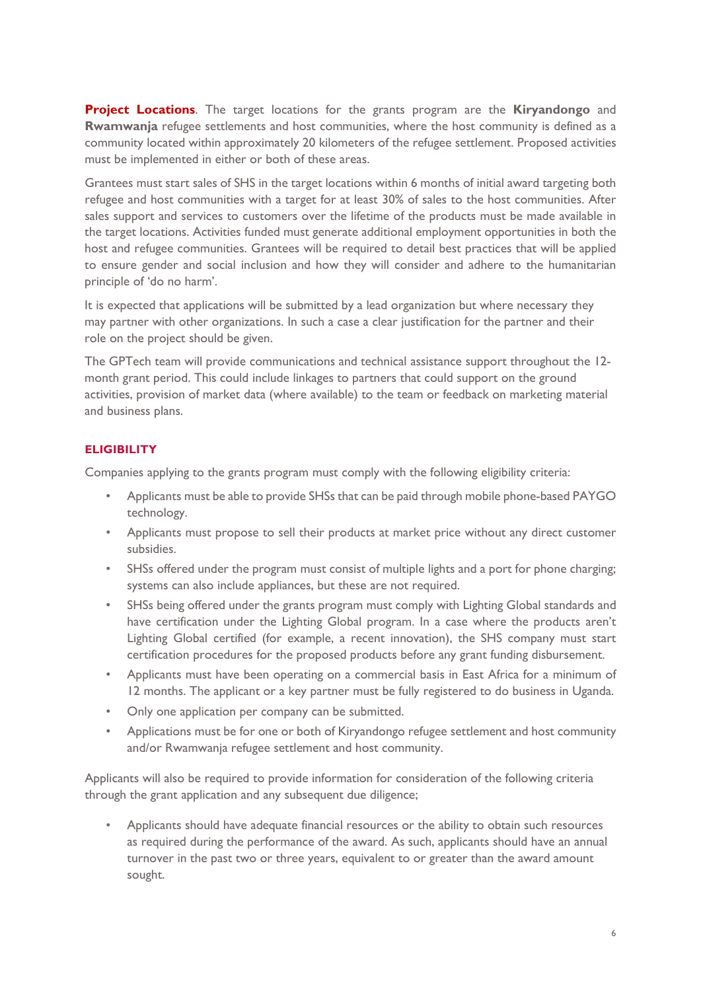**Project Locations**. The target locations for the grants program are the **Kiryandongo** and **Rwamwanja** refugee settlements and host communities, where the host community is defined as a community located within approximately 20 kilometers of the refugee settlement. Proposed activities must be implemented in either or both of these areas.

Grantees must start sales of SHS in the target locations within 6 months of initial award targeting both refugee and host communities with a target for at least 30% of sales to the host communities. After sales support and services to customers over the lifetime of the products must be made available in the target locations. Activities funded must generate additional employment opportunities in both the host and refugee communities. Grantees will be required to detail best practices that will be applied to ensure gender and social inclusion and how they will consider and adhere to the humanitarian principle of 'do no harm'.

It is expected that applications will be submitted by a lead organization but where necessary they may partner with other organizations. In such a case a clear justification for the partner and their role on the project should be given.

The GPTech team will provide communications and technical assistance support throughout the 12 month grant period. This could include linkages to partners that could support on the ground activities, provision of market data (where available) to the team or feedback on marketing material and business plans.

### **ELIGIBILITY**

Companies applying to the grants program must comply with the following eligibility criteria:

- Applicants must be able to provide SHSs that can be paid through mobile phone-based PAYGO technology.
- Applicants must propose to sell their products at market price without any direct customer subsidies.
- SHSs offered under the program must consist of multiple lights and a port for phone charging; systems can also include appliances, but these are not required.
- SHSs being offered under the grants program must comply with Lighting Global standards and have certification under the Lighting Global program. In a case where the products aren't Lighting Global certified (for example, a recent innovation), the SHS company must start certification procedures for the proposed products before any grant funding disbursement.
- Applicants must have been operating on a commercial basis in East Africa for a minimum of 12 months. The applicant or a key partner must be fully registered to do business in Uganda.
- Only one application per company can be submitted.
- Applications must be for one or both of Kiryandongo refugee settlement and host community and/or Rwamwanja refugee settlement and host community.

Applicants will also be required to provide information for consideration of the following criteria through the grant application and any subsequent due diligence;

• Applicants should have adequate financial resources or the ability to obtain such resources as required during the performance of the award. As such, applicants should have an annual turnover in the past two or three years, equivalent to or greater than the award amount sought.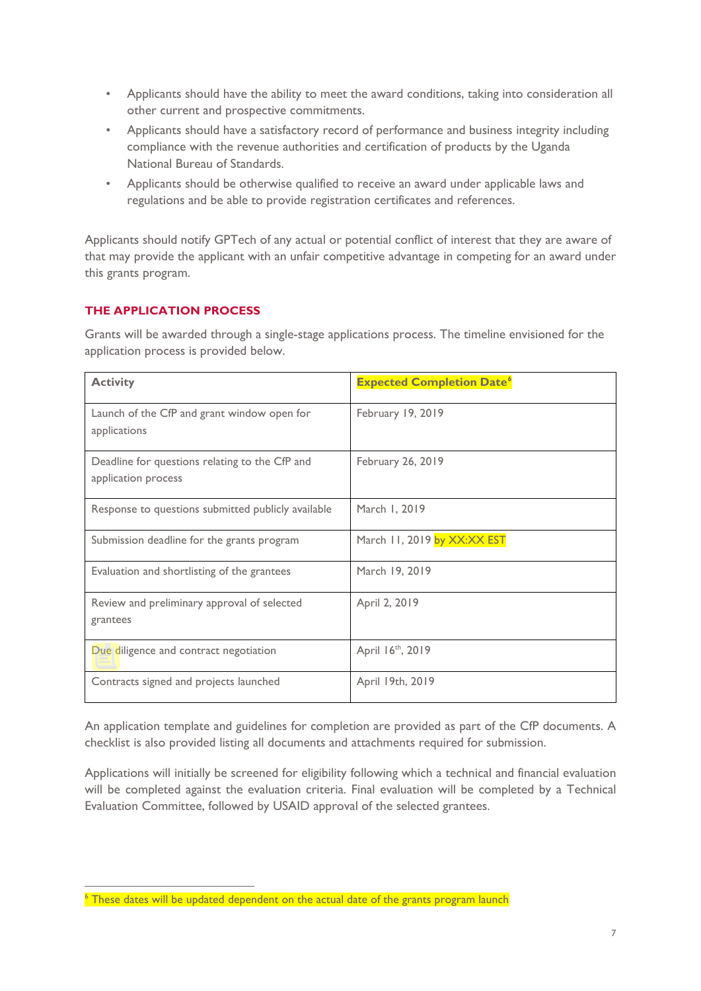- Applicants should have the ability to meet the award conditions, taking into consideration all other current and prospective commitments.
- Applicants should have a satisfactory record of performance and business integrity including compliance with the revenue authorities and certification of products by the Uganda National Bureau of Standards.
- Applicants should be otherwise qualified to receive an award under applicable laws and regulations and be able to provide registration certificates and references.

Applicants should notify GPTech of any actual or potential conflict of interest that they are aware of that may provide the applicant with an unfair competitive advantage in competing for an award under this grants program.

#### **THE APPLICATION PROCESS**

Grants will be awarded through a single-stage applications process. The timeline envisioned for the application process is provided below.

| <b>Activity</b>                                                       | <b>Expected Completion Date<sup>6</sup></b> |
|-----------------------------------------------------------------------|---------------------------------------------|
| Launch of the CfP and grant window open for<br>applications           | February 19, 2019                           |
| Deadline for questions relating to the CfP and<br>application process | February 26, 2019                           |
| Response to questions submitted publicly available                    | March 1, 2019                               |
| Submission deadline for the grants program                            | March 11, 2019 by XX:XX EST                 |
| Evaluation and shortlisting of the grantees                           | March 19, 2019                              |
| Review and preliminary approval of selected<br>grantees               | April 2, 2019                               |
| Due diligence and contract negotiation                                | April 16 <sup>th</sup> , 2019               |
| Contracts signed and projects launched                                | April 19th, 2019                            |

An application template and guidelines for completion are provided as part of the CfP documents. A checklist is also provided listing all documents and attachments required for submission.

Applications will initially be screened for eligibility following which a technical and financial evaluation will be completed against the evaluation criteria. Final evaluation will be completed by a Technical Evaluation Committee, followed by USAID approval of the selected grantees.

<span id="page-6-0"></span> $6$  These dates will be updated dependent on the actual date of the grants program launch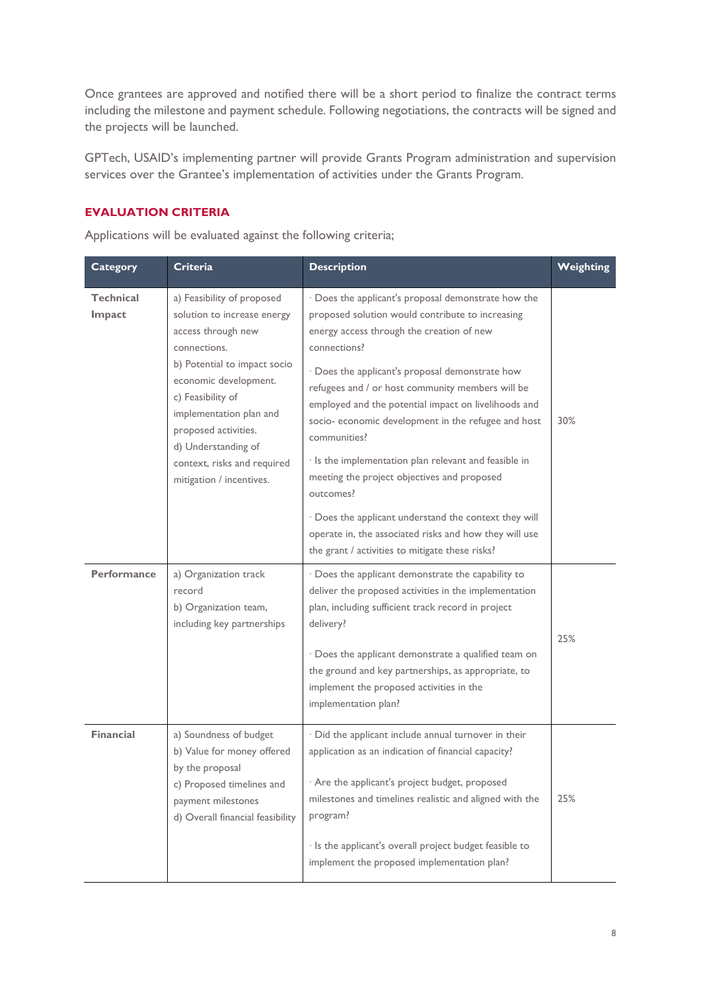Once grantees are approved and notified there will be a short period to finalize the contract terms including the milestone and payment schedule. Following negotiations, the contracts will be signed and the projects will be launched.

GPTech, USAID's implementing partner will provide Grants Program administration and supervision services over the Grantee's implementation of activities under the Grants Program.

#### **EVALUATION CRITERIA**

Applications will be evaluated against the following criteria;

| <b>Category</b>     | <b>Criteria</b>                                                                                                                                                                                                                                                                                                    | <b>Description</b>                                                                                                                                                                                                                                                                                                                                                                                                                                                                                                                                                                                                                                                                                    | Weighting |
|---------------------|--------------------------------------------------------------------------------------------------------------------------------------------------------------------------------------------------------------------------------------------------------------------------------------------------------------------|-------------------------------------------------------------------------------------------------------------------------------------------------------------------------------------------------------------------------------------------------------------------------------------------------------------------------------------------------------------------------------------------------------------------------------------------------------------------------------------------------------------------------------------------------------------------------------------------------------------------------------------------------------------------------------------------------------|-----------|
| Technical<br>Impact | a) Feasibility of proposed<br>solution to increase energy<br>access through new<br>connections.<br>b) Potential to impact socio<br>economic development.<br>c) Feasibility of<br>implementation plan and<br>proposed activities.<br>d) Understanding of<br>context, risks and required<br>mitigation / incentives. | · Does the applicant's proposal demonstrate how the<br>proposed solution would contribute to increasing<br>energy access through the creation of new<br>connections?<br>· Does the applicant's proposal demonstrate how<br>refugees and / or host community members will be<br>employed and the potential impact on livelihoods and<br>socio- economic development in the refugee and host<br>communities?<br>· Is the implementation plan relevant and feasible in<br>meeting the project objectives and proposed<br>outcomes?<br>· Does the applicant understand the context they will<br>operate in, the associated risks and how they will use<br>the grant / activities to mitigate these risks? | 30%       |
| <b>Performance</b>  | a) Organization track<br>record<br>b) Organization team,<br>including key partnerships                                                                                                                                                                                                                             | · Does the applicant demonstrate the capability to<br>deliver the proposed activities in the implementation<br>plan, including sufficient track record in project<br>delivery?<br>· Does the applicant demonstrate a qualified team on<br>the ground and key partnerships, as appropriate, to<br>implement the proposed activities in the<br>implementation plan?                                                                                                                                                                                                                                                                                                                                     | 25%       |
| <b>Financial</b>    | a) Soundness of budget<br>b) Value for money offered<br>by the proposal<br>c) Proposed timelines and<br>payment milestones<br>d) Overall financial feasibility                                                                                                                                                     | · Did the applicant include annual turnover in their<br>application as an indication of financial capacity?<br>· Are the applicant's project budget, proposed<br>milestones and timelines realistic and aligned with the<br>program?<br>· Is the applicant's overall project budget feasible to<br>implement the proposed implementation plan?                                                                                                                                                                                                                                                                                                                                                        | 25%       |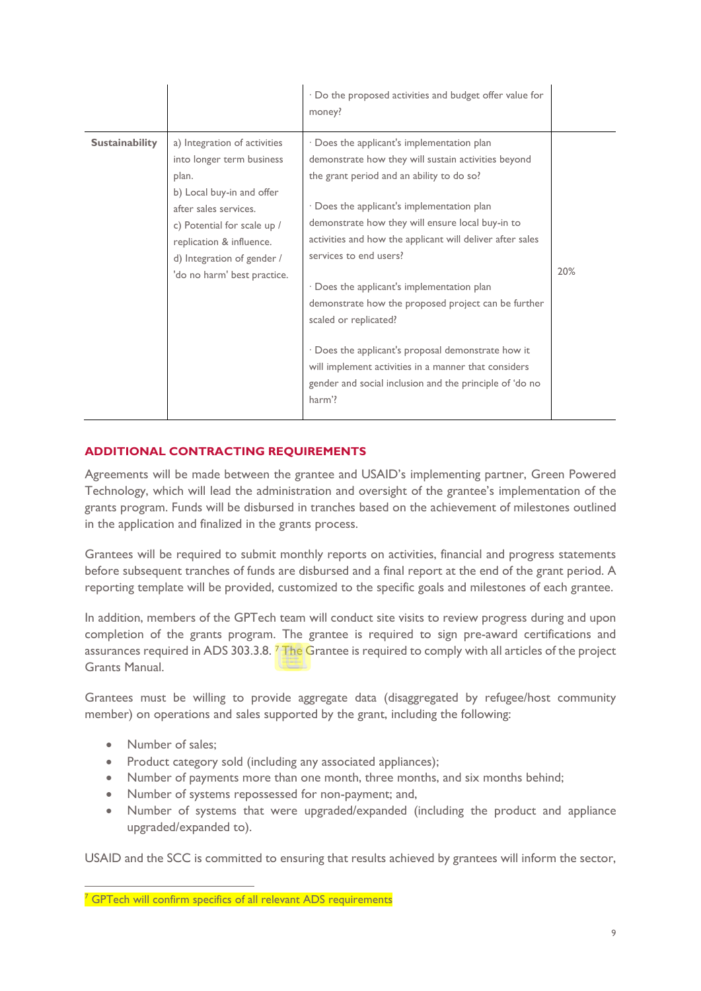|                       |                                                                                                                                                                                                                                                  | · Do the proposed activities and budget offer value for<br>money?                                                                                                                                                                                                                                                                                                                                                                                                                                                                                                                                                                                        |     |
|-----------------------|--------------------------------------------------------------------------------------------------------------------------------------------------------------------------------------------------------------------------------------------------|----------------------------------------------------------------------------------------------------------------------------------------------------------------------------------------------------------------------------------------------------------------------------------------------------------------------------------------------------------------------------------------------------------------------------------------------------------------------------------------------------------------------------------------------------------------------------------------------------------------------------------------------------------|-----|
| <b>Sustainability</b> | a) Integration of activities<br>into longer term business<br>plan.<br>b) Local buy-in and offer<br>after sales services.<br>c) Potential for scale up /<br>replication & influence.<br>d) Integration of gender /<br>'do no harm' best practice. | · Does the applicant's implementation plan<br>demonstrate how they will sustain activities beyond<br>the grant period and an ability to do so?<br>· Does the applicant's implementation plan<br>demonstrate how they will ensure local buy-in to<br>activities and how the applicant will deliver after sales<br>services to end users?<br>· Does the applicant's implementation plan<br>demonstrate how the proposed project can be further<br>scaled or replicated?<br>· Does the applicant's proposal demonstrate how it<br>will implement activities in a manner that considers<br>gender and social inclusion and the principle of 'do no<br>harm'? | 20% |

### **ADDITIONAL CONTRACTING REQUIREMENTS**

Agreements will be made between the grantee and USAID's implementing partner, Green Powered Technology, which will lead the administration and oversight of the grantee's implementation of the grants program. Funds will be disbursed in tranches based on the achievement of milestones outlined in the application and finalized in the grants process.

Grantees will be required to submit monthly reports on activities, financial and progress statements before subsequent tranches of funds are disbursed and a final report at the end of the grant period. A reporting template will be provided, customized to the specific goals and milestones of each grantee.

In addition, members of the GPTech team will conduct site visits to review progress during and upon completion of the grants program. The grantee is required to sign pre-award certifications and assurances required in ADS 303.3.8. [7](#page-8-0) The Grantee is required to comply with all articles of the project Grants Manual.

Grantees must be willing to provide aggregate data (disaggregated by refugee/host community member) on operations and sales supported by the grant, including the following:

- Number of sales:
- Product category sold (including any associated appliances);
- Number of payments more than one month, three months, and six months behind;
- Number of systems repossessed for non-payment; and,
- Number of systems that were upgraded/expanded (including the product and appliance upgraded/expanded to).

USAID and the SCC is committed to ensuring that results achieved by grantees will inform the sector,

<span id="page-8-0"></span><sup>&</sup>lt;sup>7</sup> GPTech will confirm specifics of all relevant ADS requirements